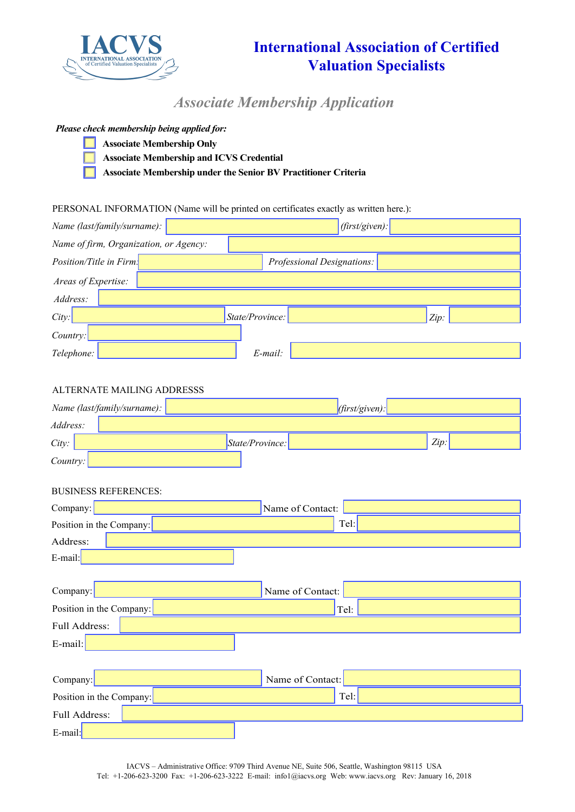

# **International Association of Certified Valuation Specialists**

*Associate Membership Application*

### *Please check membership being applied for:*

- **Associate Membership Only** 
	- **Associate Membership and ICVS Credential**
	- **Associate Membership under the Senior BV Practitioner Criteria**

### PERSONAL INFORMATION (Name will be printed on certificates exactly as written here.):

| Name (last/family/surname):                           | $(first/given)$ : |  |  |  |
|-------------------------------------------------------|-------------------|--|--|--|
| Name of firm, Organization, or Agency:                |                   |  |  |  |
| Position/Title in Firm.<br>Professional Designations: |                   |  |  |  |
| Areas of Expertise:                                   |                   |  |  |  |
| Address:                                              |                   |  |  |  |
| State/Province:<br>City:                              | Zip:              |  |  |  |
| Country:                                              |                   |  |  |  |
| Telephone:<br>E-mail:                                 |                   |  |  |  |
|                                                       |                   |  |  |  |
| ALTERNATE MAILING ADDRESSS                            |                   |  |  |  |
| Name (last/family/surname):                           | (first/given):    |  |  |  |
| Address:                                              |                   |  |  |  |
| City:<br>State/Province:                              | Zip:              |  |  |  |
| Country:                                              |                   |  |  |  |
|                                                       |                   |  |  |  |
| <b>BUSINESS REFERENCES:</b>                           |                   |  |  |  |
| Name of Contact:<br>Company:                          |                   |  |  |  |
| Tel:<br>Position in the Company:                      |                   |  |  |  |
| Address:                                              |                   |  |  |  |
| E-mail:                                               |                   |  |  |  |
| Name of Contact:<br>Company:                          |                   |  |  |  |
| Position in the Company:<br>Tel:                      |                   |  |  |  |
| Full Address:                                         |                   |  |  |  |
| E-mail:                                               |                   |  |  |  |
|                                                       |                   |  |  |  |
| Name of Contact:<br>Company:                          |                   |  |  |  |
| Tel:<br>Position in the Company:                      |                   |  |  |  |
| Full Address:                                         |                   |  |  |  |
|                                                       |                   |  |  |  |